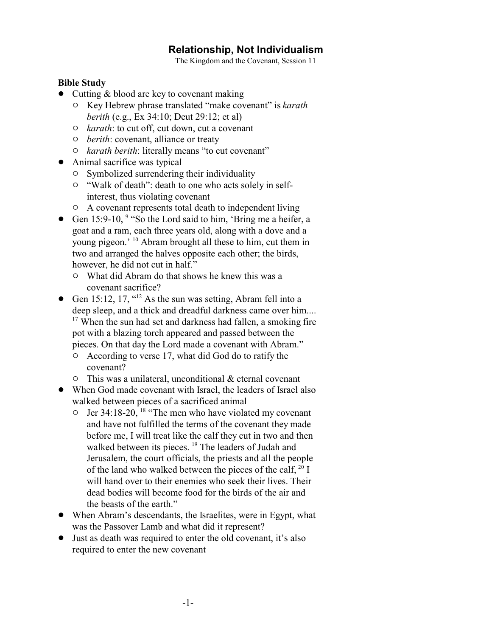# **Relationship, Not Individualism**

The Kingdom and the Covenant, Session 11

#### **Bible Study**

- $\bullet$  Cutting & blood are key to covenant making
	- " Key Hebrew phrase translated "make covenant" is *karath berith* (e.g., Ex 34:10; Deut 29:12; et al)
	- " *karath*: to cut off, cut down, cut a covenant
	- " *berith*: covenant, alliance or treaty
	- " *karath berith*: literally means "to cut covenant"
- Animal sacrifice was typical
	- $\circ$  Symbolized surrendering their individuality
	- <sup>o</sup> "Walk of death": death to one who acts solely in selfinterest, thus violating covenant
	- $\circ$  A covenant represents total death to independent living
- Gen 15:9-10, <sup>9</sup> "So the Lord said to him, 'Bring me a heifer, a goat and a ram, each three years old, along with a dove and a young pigeon.' <sup>10</sup> Abram brought all these to him, cut them in two and arranged the halves opposite each other; the birds, however, he did not cut in half."
	- " What did Abram do that shows he knew this was a covenant sacrifice?
- Gen 15:12, 17,  $12^{12}$  As the sun was setting, Abram fell into a deep sleep, and a thick and dreadful darkness came over him.... <sup>17</sup> When the sun had set and darkness had fallen, a smoking fire pot with a blazing torch appeared and passed between the pieces. On that day the Lord made a covenant with Abram."
	- $\circ$  According to verse 17, what did God do to ratify the covenant?
	- $\circ$  This was a unilateral, unconditional & eternal covenant
- When God made covenant with Israel, the leaders of Israel also walked between pieces of a sacrificed animal
	- $\circ$  Jer 34:18-20, <sup>18</sup> "The men who have violated my covenant and have not fulfilled the terms of the covenant they made before me, I will treat like the calf they cut in two and then walked between its pieces. <sup>19</sup> The leaders of Judah and Jerusalem, the court officials, the priests and all the people of the land who walked between the pieces of the calf,  $20 \text{ I}$ will hand over to their enemies who seek their lives. Their dead bodies will become food for the birds of the air and the beasts of the earth."
- ! When Abram's descendants, the Israelites, were in Egypt, what was the Passover Lamb and what did it represent?
- ! Just as death was required to enter the old covenant, it's also required to enter the new covenant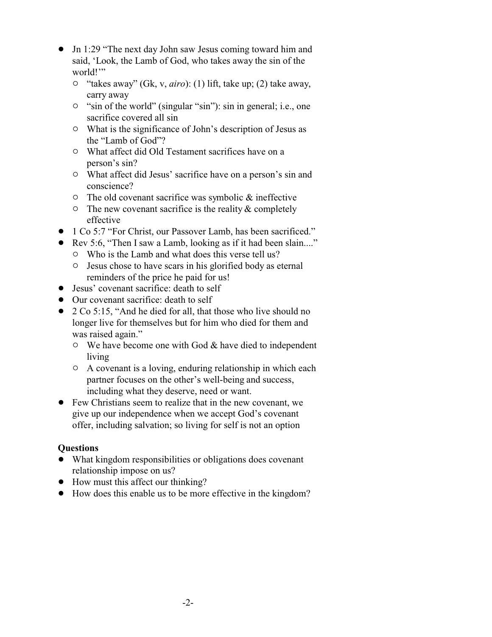- Jn 1:29 "The next day John saw Jesus coming toward him and said, 'Look, the Lamb of God, who takes away the sin of the world!"
	- " "takes away" (Gk, v, *airo*): (1) lift, take up; (2) take away, carry away
	- $\circ$  "sin of the world" (singular "sin"): sin in general; i.e., one sacrifice covered all sin
	- $\circ$  What is the significance of John's description of Jesus as the "Lamb of God"?
	- " What affect did Old Testament sacrifices have on a person's sin?
	- $\circ$  What affect did Jesus' sacrifice have on a person's sin and conscience?
	- $\circ$  The old covenant sacrifice was symbolic & ineffective
	- $\circ$  The new covenant sacrifice is the reality & completely effective
- ! 1 Co 5:7 "For Christ, our Passover Lamb, has been sacrificed."
- Rev 5:6, "Then I saw a Lamb, looking as if it had been slain...."
	- $\circ$  Who is the Lamb and what does this verse tell us?
	- $\circ$  Jesus chose to have scars in his glorified body as eternal reminders of the price he paid for us!
- Jesus' covenant sacrifice: death to self
- Our covenant sacrifice: death to self
- 2 Co 5:15, "And he died for all, that those who live should no longer live for themselves but for him who died for them and was raised again."
	- $\circ$  We have become one with God & have died to independent living
	- $\circ$  A covenant is a loving, enduring relationship in which each partner focuses on the other's well-being and success, including what they deserve, need or want.
- Few Christians seem to realize that in the new covenant, we give up our independence when we accept God's covenant offer, including salvation; so living for self is not an option

## **Questions**

- ! What kingdom responsibilities or obligations does covenant relationship impose on us?
- How must this affect our thinking?
- ! How does this enable us to be more effective in the kingdom?